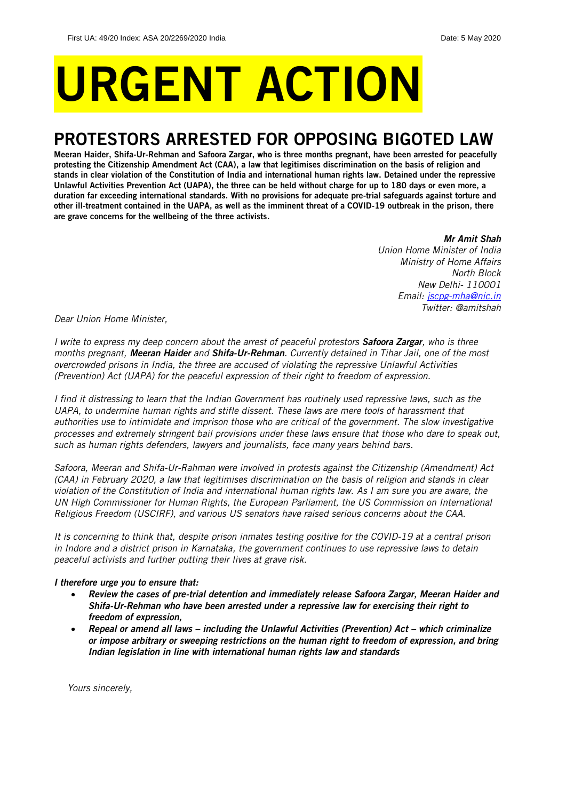# URGENT ACTION

## PROTESTORS ARRESTED FOR OPPOSING BIGOTED LAW

Meeran Haider, Shifa-Ur-Rehman and Safoora Zargar, who is three months pregnant, have been arrested for peacefully protesting the Citizenship Amendment Act (CAA), a law that legitimises discrimination on the basis of religion and stands in clear violation of the Constitution of India and international human rights law. Detained under the repressive Unlawful Activities Prevention Act (UAPA), the three can be held without charge for up to 180 days or even more, a duration far exceeding international standards. With no provisions for adequate pre-trial safeguards against torture and other ill-treatment contained in the UAPA, as well as the imminent threat of a COVID-19 outbreak in the prison, there are grave concerns for the wellbeing of the three activists.

*Mr Amit Shah*

*Union Home Minister of India Ministry of Home Affairs North Block New Delhi- 110001 Email: [jscpg-mha@nic.in](mailto:jscpg-mha@nic.in) Twitter: @amitshah*

*Dear Union Home Minister,*

*I write to express my deep concern about the arrest of peaceful protestors Safoora Zargar, who is three months pregnant, Meeran Haider and Shifa-Ur-Rehman. Currently detained in Tihar Jail, one of the most overcrowded prisons in India, the three are accused of violating the repressive Unlawful Activities (Prevention) Act (UAPA) for the peaceful expression of their right to freedom of expression.*

*I find it distressing to learn that the Indian Government has routinely used repressive laws, such as the UAPA, to undermine human rights and stifle dissent. These laws are mere tools of harassment that authorities use to intimidate and imprison those who are critical of the government. The slow investigative processes and extremely stringent bail provisions under these laws ensure that those who dare to speak out, such as human rights defenders, lawyers and journalists, face many years behind bars.*

*Safoora, Meeran and Shifa-Ur-Rahman were involved in protests against the Citizenship (Amendment) Act (CAA) in February 2020, a law that legitimises discrimination on the basis of religion and stands in clear violation of the Constitution of India and international human rights law. As I am sure you are aware, the UN High Commissioner for Human Rights, the European Parliament, the US Commission on International Religious Freedom (USCIRF), and various US senators have raised serious concerns about the CAA.* 

*It is concerning to think that, despite prison inmates testing positive for the COVID-19 at a central prison in Indore and a district prison in Karnataka, the government continues to use repressive laws to detain peaceful activists and further putting their lives at grave risk.* 

## *I therefore urge you to ensure that:*

- *Review the cases of pre-trial detention and immediately release Safoora Zargar, Meeran Haider and Shifa-Ur-Rehman who have been arrested under a repressive law for exercising their right to freedom of expression,*
- *Repeal or amend all laws – including the Unlawful Activities (Prevention) Act – which criminalize or impose arbitrary or sweeping restrictions on the human right to freedom of expression, and bring Indian legislation in line with international human rights law and standards*

*Yours sincerely,*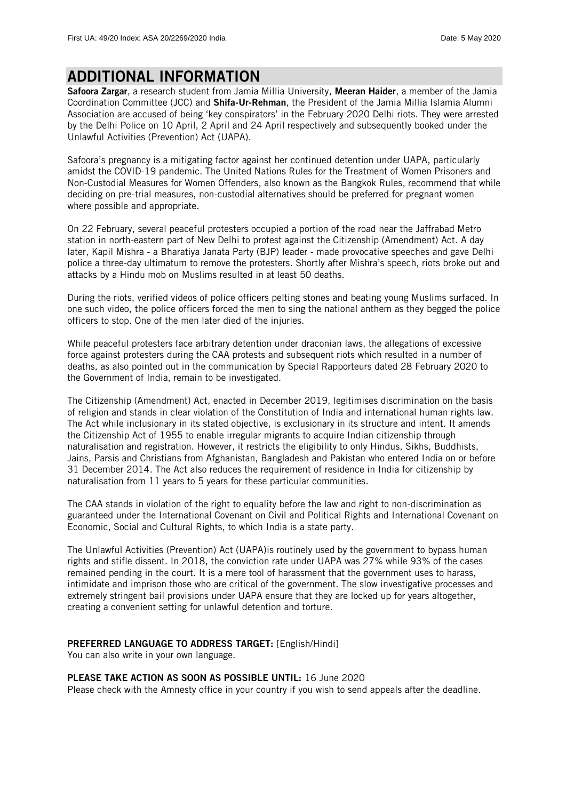## ADDITIONAL INFORMATION

Safoora Zargar, a research student from Jamia Millia University, Meeran Haider, a member of the Jamia Coordination Committee (JCC) and Shifa-Ur-Rehman, the President of the Jamia Millia Islamia Alumni Association are accused of being 'key conspirators' in the February 2020 Delhi riots. They were arrested by the Delhi Police on 10 April, 2 April and 24 April respectively and subsequently booked under the Unlawful Activities (Prevention) Act (UAPA).

Safoora's pregnancy is a mitigating factor against her continued detention under UAPA, particularly amidst the COVID-19 pandemic. The United Nations Rules for the Treatment of Women Prisoners and Non-Custodial Measures for Women Offenders, also known as the Bangkok Rules, recommend that while deciding on pre-trial measures, non-custodial alternatives should be preferred for pregnant women where possible and appropriate.

On 22 February, several peaceful protesters occupied a portion of the road near the Jaffrabad Metro station in north-eastern part of New Delhi to protest against the Citizenship (Amendment) Act. A day later, Kapil Mishra - a Bharatiya Janata Party (BJP) leader - made provocative speeches and gave Delhi police a three-day ultimatum to remove the protesters. Shortly after Mishra's speech, riots broke out and attacks by a Hindu mob on Muslims resulted in at least 50 deaths.

During the riots, verified videos of police officers pelting stones and beating young Muslims surfaced. In one such video, the police officers forced the men to sing the national anthem as they begged the police officers to stop. One of the men later died of the injuries.

While peaceful protesters face arbitrary detention under draconian laws, the allegations of excessive force against protesters during the CAA protests and subsequent riots which resulted in a number of deaths, as also pointed out in the communication by Special Rapporteurs dated 28 February 2020 to the Government of India, remain to be investigated.

The Citizenship (Amendment) Act, enacted in December 2019, legitimises discrimination on the basis of religion and stands in clear violation of the Constitution of India and international human rights law. The Act while inclusionary in its stated objective, is exclusionary in its structure and intent. It amends the Citizenship Act of 1955 to enable irregular migrants to acquire Indian citizenship through naturalisation and registration. However, it restricts the eligibility to only Hindus, Sikhs, Buddhists, Jains, Parsis and Christians from Afghanistan, Bangladesh and Pakistan who entered India on or before 31 December 2014. The Act also reduces the requirement of residence in India for citizenship by naturalisation from 11 years to 5 years for these particular communities.

The CAA stands in violation of the right to equality before the law and right to non-discrimination as guaranteed under the International Covenant on Civil and Political Rights and International Covenant on Economic, Social and Cultural Rights, to which India is a state party.

The Unlawful Activities (Prevention) Act (UAPA)is routinely used by the government to bypass human rights and stifle dissent. In 2018, the conviction rate under UAPA was 27% while 93% of the cases remained pending in the court. It is a mere tool of harassment that the government uses to harass, intimidate and imprison those who are critical of the government. The slow investigative processes and extremely stringent bail provisions under UAPA ensure that they are locked up for years altogether, creating a convenient setting for unlawful detention and torture.

## PREFERRED LANGUAGE TO ADDRESS TARGET: [English/Hindi]

You can also write in your own language.

#### PLEASE TAKE ACTION AS SOON AS POSSIBLE UNTIL: 16 June 2020

Please check with the Amnesty office in your country if you wish to send appeals after the deadline.